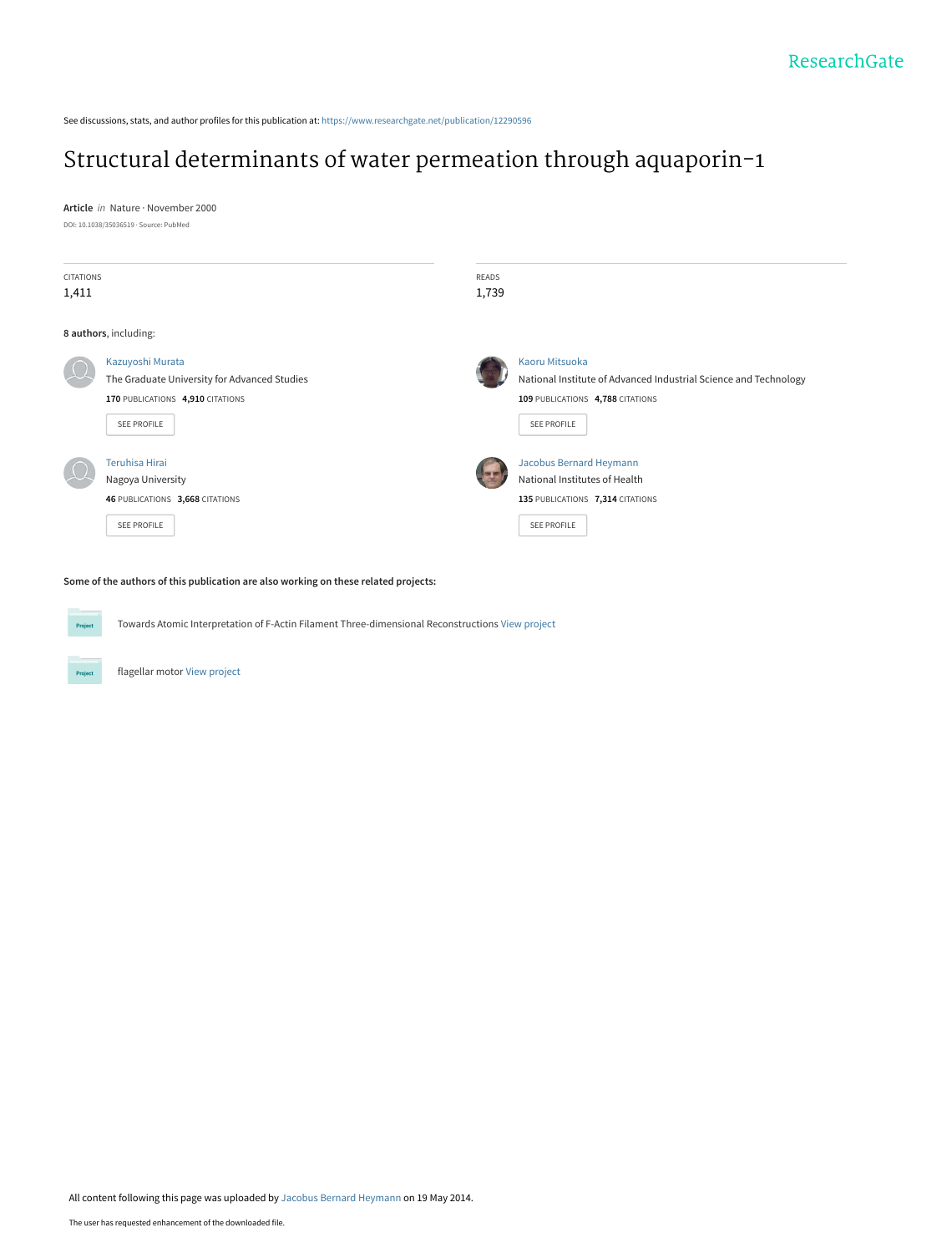See discussions, stats, and author profiles for this publication at: [https://www.researchgate.net/publication/12290596](https://www.researchgate.net/publication/12290596_Structural_determinants_of_water_permeation_through_aquaporin-1?enrichId=rgreq-0ad7b5a3e871ee3fcca5174d5578eb63-XXX&enrichSource=Y292ZXJQYWdlOzEyMjkwNTk2O0FTOjk4NTczNDc5ODQxNzk4QDE0MDA1MTMxNTc0NTI%3D&el=1_x_2&_esc=publicationCoverPdf)

# [Structural determinants of water permeation through aquaporin-1](https://www.researchgate.net/publication/12290596_Structural_determinants_of_water_permeation_through_aquaporin-1?enrichId=rgreq-0ad7b5a3e871ee3fcca5174d5578eb63-XXX&enrichSource=Y292ZXJQYWdlOzEyMjkwNTk2O0FTOjk4NTczNDc5ODQxNzk4QDE0MDA1MTMxNTc0NTI%3D&el=1_x_3&_esc=publicationCoverPdf)

**Article** in Nature · November 2000

DOI: 10.1038/35036519 · Source: PubMed

| <b>CITATIONS</b><br>1,411 |                                                                                                                            | READS<br>1,739 |                                                                                                                                       |
|---------------------------|----------------------------------------------------------------------------------------------------------------------------|----------------|---------------------------------------------------------------------------------------------------------------------------------------|
|                           | 8 authors, including:                                                                                                      |                |                                                                                                                                       |
|                           | Kazuyoshi Murata<br>The Graduate University for Advanced Studies<br>170 PUBLICATIONS 4,910 CITATIONS<br><b>SEE PROFILE</b> |                | Kaoru Mitsuoka<br>National Institute of Advanced Industrial Science and Technology<br>109 PUBLICATIONS 4,788 CITATIONS<br>SEE PROFILE |
|                           | <b>Teruhisa Hirai</b><br>Nagoya University<br>46 PUBLICATIONS 3,668 CITATIONS<br><b>SEE PROFILE</b>                        |                | Jacobus Bernard Heymann<br>National Institutes of Health<br>135 PUBLICATIONS 7,314 CITATIONS<br>SEE PROFILE                           |

**Some of the authors of this publication are also working on these related projects:**



Towards Atomic Interpretation of F-Actin Filament Three-dimensional Reconstructions [View project](https://www.researchgate.net/project/Towards-Atomic-Interpretation-of-F-Actin-Filament-Three-dimensional-Reconstructions?enrichId=rgreq-0ad7b5a3e871ee3fcca5174d5578eb63-XXX&enrichSource=Y292ZXJQYWdlOzEyMjkwNTk2O0FTOjk4NTczNDc5ODQxNzk4QDE0MDA1MTMxNTc0NTI%3D&el=1_x_9&_esc=publicationCoverPdf)

flagellar motor [View project](https://www.researchgate.net/project/flagellar-motor-2?enrichId=rgreq-0ad7b5a3e871ee3fcca5174d5578eb63-XXX&enrichSource=Y292ZXJQYWdlOzEyMjkwNTk2O0FTOjk4NTczNDc5ODQxNzk4QDE0MDA1MTMxNTc0NTI%3D&el=1_x_9&_esc=publicationCoverPdf)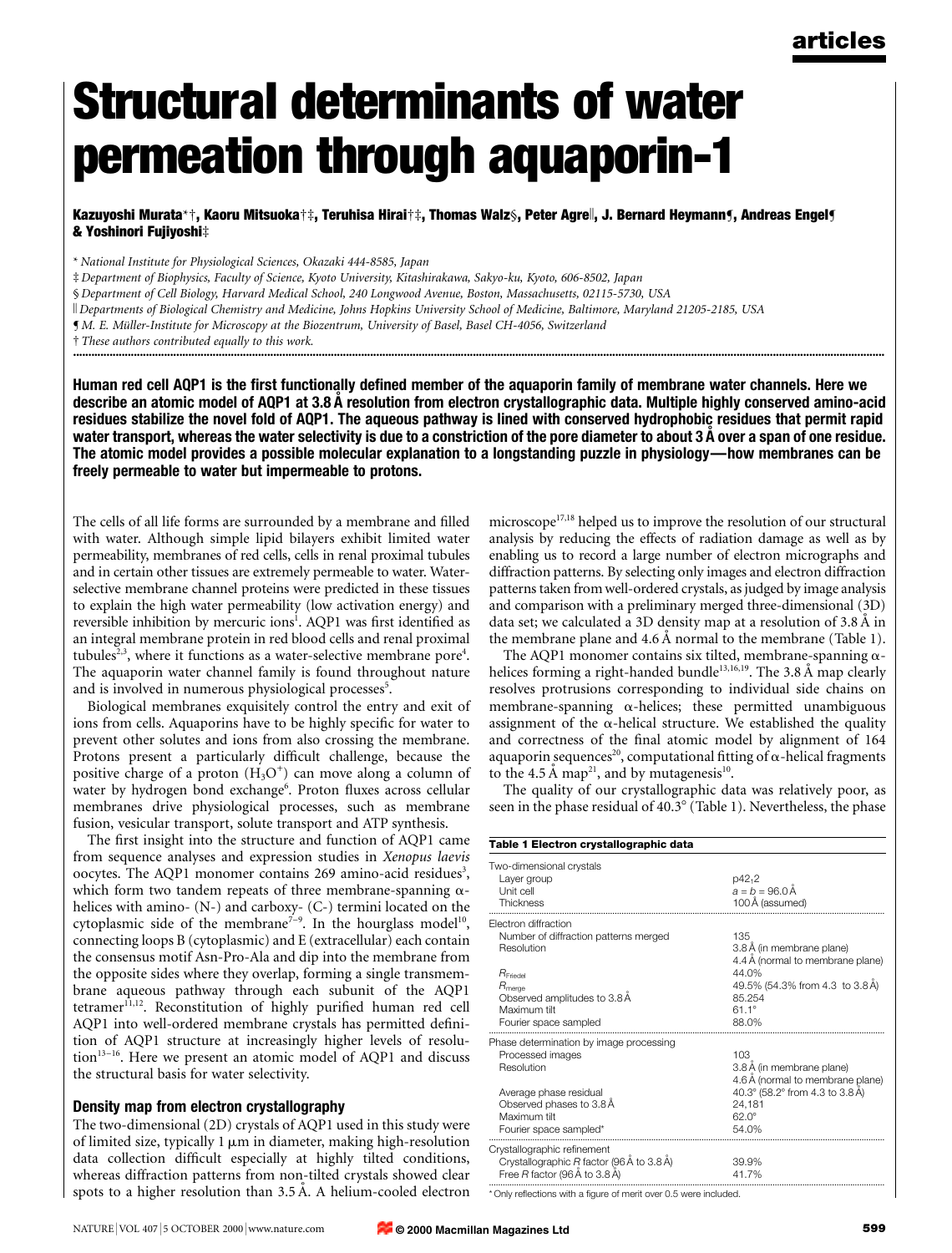# Structural determinants of water permeation through aquaporin-1

Kazuyoshi Murata\*†, Kaoru Mitsuoka†‡, Teruhisa Hirai†‡, Thomas Walz§, Peter Agre∥, J. Bernard Heymann¶, Andreas Engel¶ & Yoshinori Fujiyoshi $\ddagger$ 

\* National Institute for Physiological Sciences, Okazaki 444-8585, Japan

³ Department of Biophysics, Faculty of Science, Kyoto University, Kitashirakawa, Sakyo-ku, Kyoto, 606-8502, Japan

§ Department of Cell Biology, Harvard Medical School, 240 Longwood Avenue, Boston, Massachusetts, 02115-5730, USA

k Departments of Biological Chemistry and Medicine, Johns Hopkins University School of Medicine, Baltimore, Maryland 21205-2185, USA

¶ M. E. MuÈller-Institute for Microscopy at the Biozentrum, University of Basel, Basel CH-4056, Switzerland

 $\dagger$  These authors contributed equally to this work. ............................................................................................................................................................................................................................................................................

Human red cell AQP1 is the first functionally defined member of the aquaporin family of membrane water channels. Here we describe an atomic model of AQP1 at 3.8 Å resolution from electron crystallographic data. Multiple highly conserved amino-acid residues stabilize the novel fold of AQP1. The aqueous pathway is lined with conserved hydrophobic residues that permit rapid water transport, whereas the water selectivity is due to a constriction of the pore diameter to about 3 A over a span of one residue. The atomic model provides a possible molecular explanation to a longstanding puzzle in physiology—how membranes can be freely permeable to water but impermeable to protons.

The cells of all life forms are surrounded by a membrane and filled with water. Although simple lipid bilayers exhibit limited water permeability, membranes of red cells, cells in renal proximal tubules and in certain other tissues are extremely permeable to water. Waterselective membrane channel proteins were predicted in these tissues to explain the high water permeability (low activation energy) and reversible inhibition by mercuric ions<sup>1</sup>. AQP1 was first identified as an integral membrane protein in red blood cells and renal proximal tubules<sup>2,3</sup>, where it functions as a water-selective membrane pore<sup>4</sup>. The aquaporin water channel family is found throughout nature and is involved in numerous physiological processes<sup>5</sup>.

Biological membranes exquisitely control the entry and exit of ions from cells. Aquaporins have to be highly specific for water to prevent other solutes and ions from also crossing the membrane. Protons present a particularly difficult challenge, because the positive charge of a proton  $(H_3O^+)$  can move along a column of water by hydrogen bond exchange<sup>6</sup>. Proton fluxes across cellular membranes drive physiological processes, such as membrane fusion, vesicular transport, solute transport and ATP synthesis.

The first insight into the structure and function of AQP1 came from sequence analyses and expression studies in Xenopus laevis oocytes. The AQP1 monomer contains 269 amino-acid residues<sup>3</sup>, which form two tandem repeats of three membrane-spanning  $\alpha$ helices with amino- (N-) and carboxy- (C-) termini located on the cytoplasmic side of the membrane<sup> $7-9$ </sup>. In the hourglass model<sup>10</sup>, connecting loops B (cytoplasmic) and E (extracellular) each contain the consensus motif Asn-Pro-Ala and dip into the membrane from the opposite sides where they overlap, forming a single transmembrane aqueous pathway through each subunit of the AQP1 tetramer<sup>11,12</sup>. Reconstitution of highly purified human red cell AQP1 into well-ordered membrane crystals has permitted definition of AQP1 structure at increasingly higher levels of resolu- $\frac{13-16}{10}$ . Here we present an atomic model of AQP1 and discuss the structural basis for water selectivity.

### Density map from electron crystallography

The two-dimensional (2D) crystals of AQP1 used in this study were of limited size, typically  $1 \mu m$  in diameter, making high-resolution data collection difficult especially at highly tilted conditions, whereas diffraction patterns from non-tilted crystals showed clear spots to a higher resolution than  $3.5 \text{ Å}$ . A helium-cooled electron microscope<sup>17,18</sup> helped us to improve the resolution of our structural analysis by reducing the effects of radiation damage as well as by enabling us to record a large number of electron micrographs and diffraction patterns. By selecting only images and electron diffraction patterns taken from well-ordered crystals, as judged by image analysis and comparison with a preliminary merged three-dimensional (3D) data set; we calculated a 3D density map at a resolution of  $3.8 \text{ Å}$  in the membrane plane and  $4.6 \text{ Å}$  normal to the membrane (Table 1).

The AQP1 monomer contains six tilted, membrane-spanning  $\alpha$ helices forming a right-handed bundle<sup>13,16,19</sup>. The 3.8 A map clearly resolves protrusions corresponding to individual side chains on membrane-spanning  $\alpha$ -helices; these permitted unambiguous assignment of the  $\alpha$ -helical structure. We established the quality and correctness of the final atomic model by alignment of 164 aquaporin sequences<sup>20</sup>, computational fitting of  $\alpha$ -helical fragments to the 4.5 Å map<sup>21</sup>, and by mutagenesis<sup>10</sup>.

The quality of our crystallographic data was relatively poor, as seen in the phase residual of  $40.3^{\circ}$  (Table 1). Nevertheless, the phase

| Table 1 Electron crystallographic data                                                                                                                                                               |                                                                                                                                                     |  |  |  |  |
|------------------------------------------------------------------------------------------------------------------------------------------------------------------------------------------------------|-----------------------------------------------------------------------------------------------------------------------------------------------------|--|--|--|--|
| Two-dimensional crystals<br>Layer group<br>Unit cell<br>Thickness                                                                                                                                    | $p42_{12}$<br>$a = b = 96.0 A$<br>100 A (assumed)                                                                                                   |  |  |  |  |
| Electron diffraction<br>Number of diffraction patterns merged<br>Resolution<br>$R$ <sub>Friedel</sub><br>$R_{\text{merge}}$<br>Observed amplitudes to 3.8 Å<br>Maximum tilt<br>Fourier space sampled | 135<br>3.8 A (in membrane plane)<br>4.4 A (normal to membrane plane)<br>44.0%<br>49.5% (54.3% from 4.3 to 3.8A)<br>85.254<br>$611^{\circ}$<br>88.0% |  |  |  |  |
| Phase determination by image processing<br>Processed images<br>Resolution<br>Average phase residual<br>Observed phases to 3.8 A<br>Maximum tilt<br>Fourier space sampled*                            | 103<br>3.8 A (in membrane plane)<br>4.6 Å (normal to membrane plane)<br>40.3° (58.2° from 4.3 to 3.8 Å)<br>24.181<br>$62.0^{\circ}$<br>54.0%        |  |  |  |  |
| Crystallographic refinement<br>Crystallographic P factor (96 A to 3.8 A)<br>Free R factor (96 A to 3.8 A)                                                                                            | 39.9%<br>41.7%                                                                                                                                      |  |  |  |  |

\* Only reflections with a figure of merit over 0.5 were included.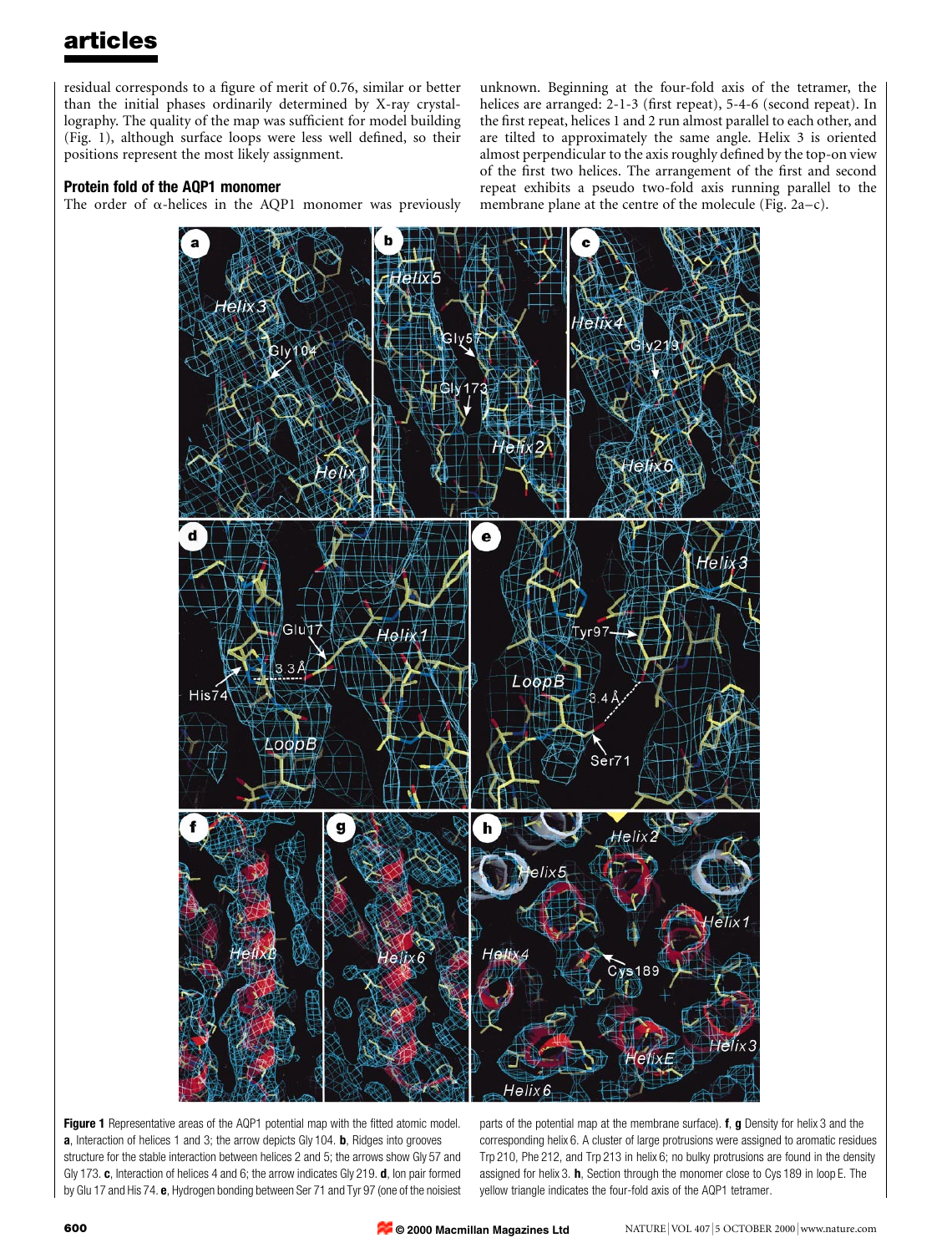residual corresponds to a figure of merit of 0.76, similar or better than the initial phases ordinarily determined by X-ray crystallography. The quality of the map was sufficient for model building (Fig. 1), although surface loops were less well defined, so their positions represent the most likely assignment.

### Protein fold of the AQP1 monomer

The order of  $\alpha$ -helices in the AQP1 monomer was previously

unknown. Beginning at the four-fold axis of the tetramer, the helices are arranged: 2-1-3 (first repeat), 5-4-6 (second repeat). In the first repeat, helices 1 and 2 run almost parallel to each other, and are tilted to approximately the same angle. Helix 3 is oriented almost perpendicular to the axis roughly defined by the top-on view of the first two helices. The arrangement of the first and second repeat exhibits a pseudo two-fold axis running parallel to the membrane plane at the centre of the molecule (Fig.  $2a-c$ ).



Figure 1 Representative areas of the AQP1 potential map with the fitted atomic model. a, Interaction of helices 1 and 3; the arrow depicts Gly 104. **b**, Ridges into grooves structure for the stable interaction between helices 2 and 5; the arrows show Gly 57 and Gly 173. c, Interaction of helices 4 and 6; the arrow indicates Gly 219. d, Ion pair formed by Glu 17 and His 74. e, Hydrogen bonding between Ser 71 and Tyr 97 (one of the noisiest

parts of the potential map at the membrane surface). **f**, **g** Density for helix 3 and the corresponding helix 6. A cluster of large protrusions were assigned to aromatic residues Trp 210, Phe 212, and Trp 213 in helix 6; no bulky protrusions are found in the density assigned for helix 3. h, Section through the monomer close to Cys 189 in loop E. The yellow triangle indicates the four-fold axis of the AQP1 tetramer.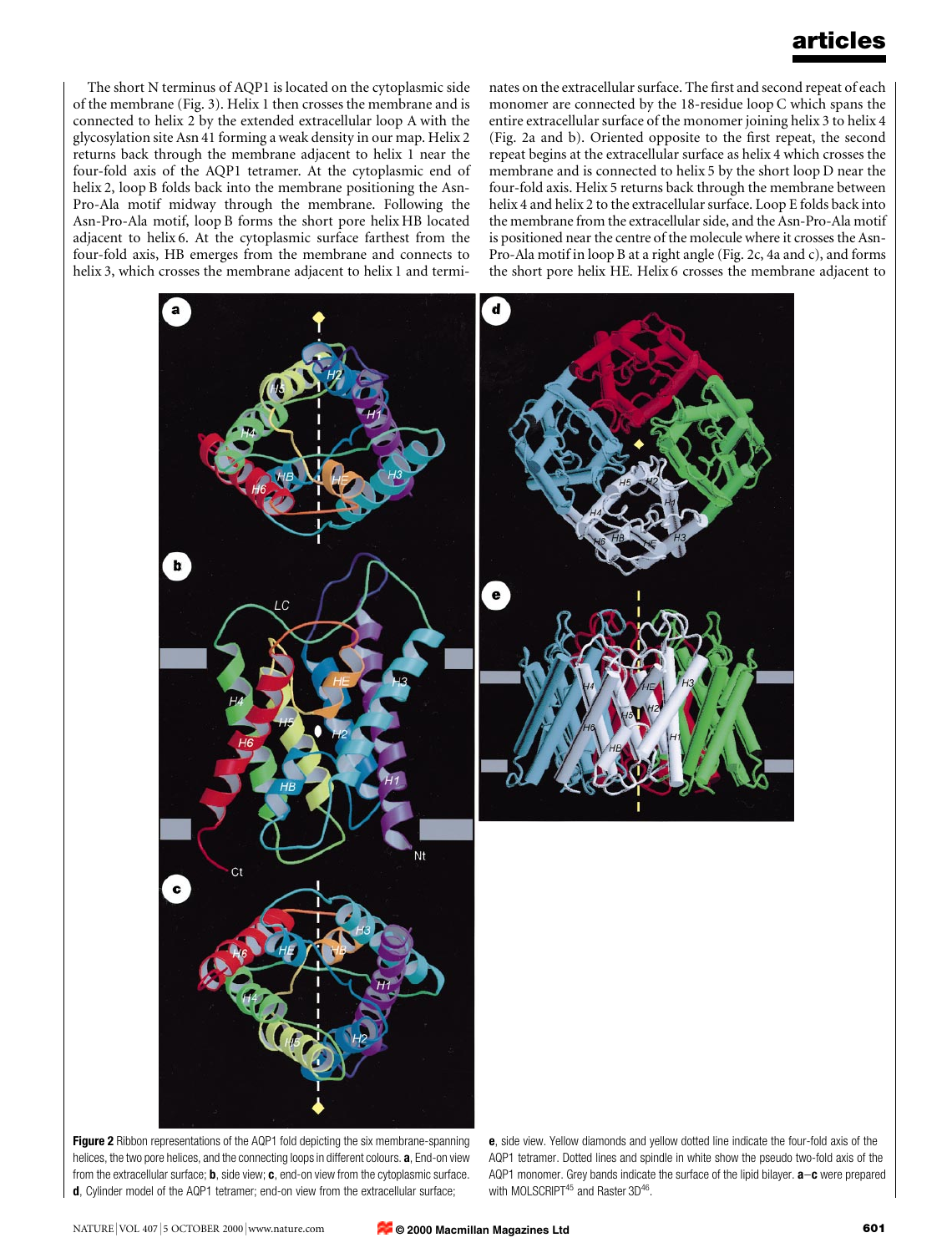The short N terminus of AQP1 is located on the cytoplasmic side of the membrane (Fig. 3). Helix 1 then crosses the membrane and is connected to helix 2 by the extended extracellular loop A with the glycosylation site Asn 41 forming a weak density in our map. Helix 2 returns back through the membrane adjacent to helix 1 near the four-fold axis of the AQP1 tetramer. At the cytoplasmic end of helix 2, loop B folds back into the membrane positioning the Asn-Pro-Ala motif midway through the membrane. Following the Asn-Pro-Ala motif, loop B forms the short pore helix HB located adjacent to helix 6. At the cytoplasmic surface farthest from the four-fold axis, HB emerges from the membrane and connects to helix 3, which crosses the membrane adjacent to helix 1 and terminates on the extracellular surface. The first and second repeat of each monomer are connected by the 18-residue loop C which spans the entire extracellular surface of the monomer joining helix 3 to helix 4 (Fig. 2a and b). Oriented opposite to the first repeat, the second repeat begins at the extracellular surface as helix 4 which crosses the membrane and is connected to helix 5 by the short loop D near the four-fold axis. Helix 5 returns back through the membrane between helix 4 and helix 2 to the extracellular surface. Loop E folds back into the membrane from the extracellular side, and the Asn-Pro-Ala motif is positioned near the centre of the molecule where it crosses the Asn-Pro-Ala motif in loop B at a right angle (Fig. 2c, 4a and c), and forms the short pore helix HE. Helix 6 crosses the membrane adjacent to



Figure 2 Ribbon representations of the AQP1 fold depicting the six membrane-spanning helices, the two pore helices, and the connecting loops in different colours. a, End-on view from the extracellular surface; **b**, side view; **c**, end-on view from the cytoplasmic surface. d, Cylinder model of the AQP1 tetramer; end-on view from the extracellular surface;

e, side view. Yellow diamonds and yellow dotted line indicate the four-fold axis of the AQP1 tetramer. Dotted lines and spindle in white show the pseudo two-fold axis of the AQP1 monomer. Grey bands indicate the surface of the lipid bilayer.  $a-c$  were prepared with MOLSCRIPT<sup>45</sup> and Raster 3D<sup>46</sup>.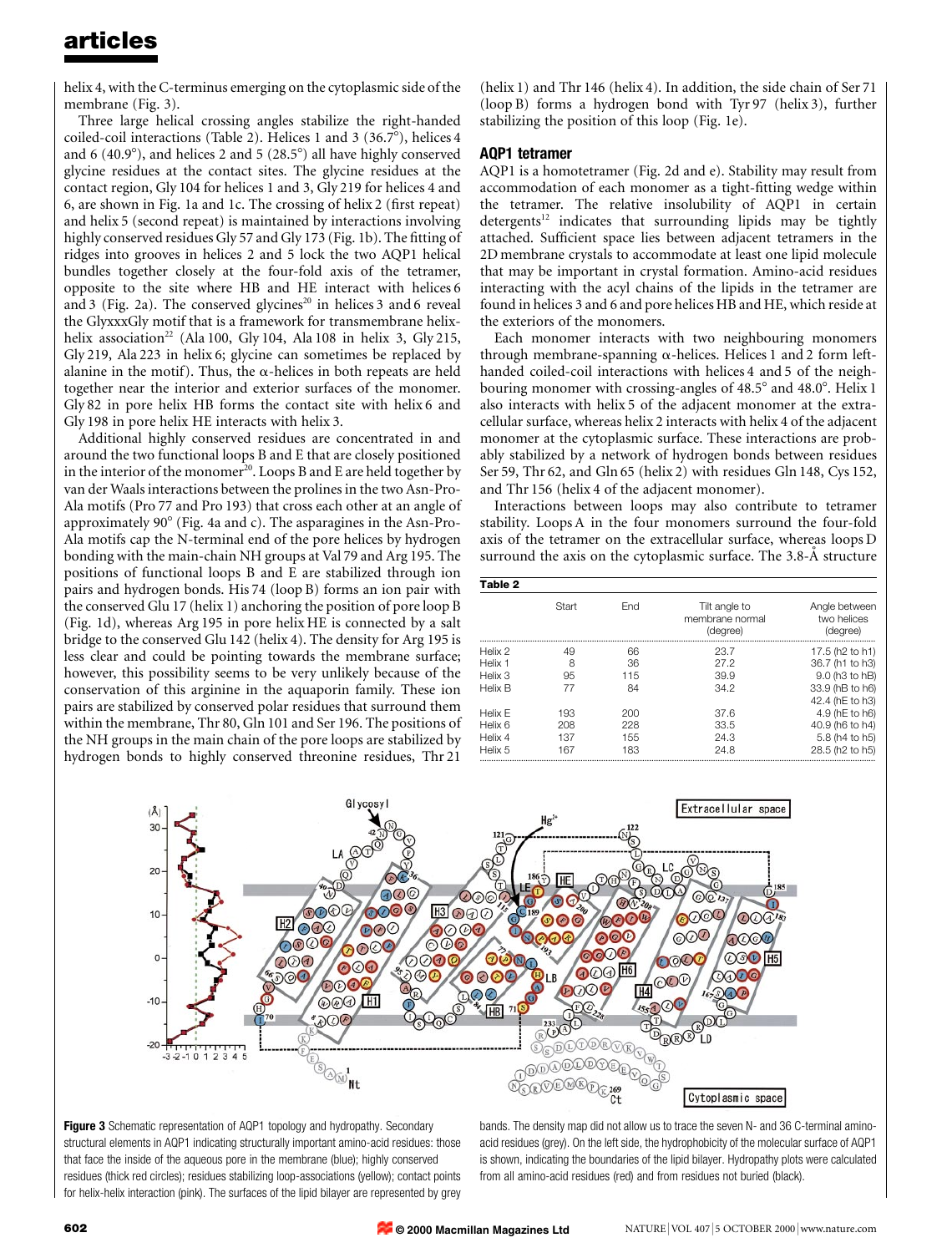helix 4, with the C-terminus emerging on the cytoplasmic side of the membrane (Fig. 3).

Three large helical crossing angles stabilize the right-handed coiled-coil interactions (Table 2). Helices 1 and 3 (36.7°), helices 4 and 6 (40.9 $^{\circ}$ ), and helices 2 and 5 (28.5 $^{\circ}$ ) all have highly conserved glycine residues at the contact sites. The glycine residues at the contact region, Gly 104 for helices 1 and 3, Gly 219 for helices 4 and 6, are shown in Fig. 1a and 1c. The crossing of helix 2 (first repeat) and helix 5 (second repeat) is maintained by interactions involving highly conserved residues Gly 57 and Gly 173 (Fig. 1b). The fitting of ridges into grooves in helices 2 and 5 lock the two AQP1 helical bundles together closely at the four-fold axis of the tetramer, opposite to the site where HB and HE interact with helices 6 and 3 (Fig. 2a). The conserved glycines<sup>20</sup> in helices 3 and 6 reveal the GlyxxxGly motif that is a framework for transmembrane helixhelix association<sup>22</sup> (Ala 100, Gly 104, Ala 108 in helix 3, Gly 215, Gly 219, Ala 223 in helix 6; glycine can sometimes be replaced by alanine in the motif). Thus, the  $\alpha$ -helices in both repeats are held together near the interior and exterior surfaces of the monomer. Gly 82 in pore helix HB forms the contact site with helix 6 and Gly 198 in pore helix HE interacts with helix 3.

Additional highly conserved residues are concentrated in and around the two functional loops B and E that are closely positioned in the interior of the monomer<sup>20</sup>. Loops B and E are held together by van der Waals interactions between the prolines in the two Asn-Pro-Ala motifs (Pro 77 and Pro 193) that cross each other at an angle of approximately  $90^{\circ}$  (Fig. 4a and c). The asparagines in the Asn-Pro-Ala motifs cap the N-terminal end of the pore helices by hydrogen bonding with the main-chain NH groups at Val 79 and Arg 195. The positions of functional loops B and E are stabilized through ion pairs and hydrogen bonds. His 74 (loop B) forms an ion pair with the conserved Glu 17 (helix 1) anchoring the position of pore loop B (Fig. 1d), whereas Arg 195 in pore helix HE is connected by a salt bridge to the conserved Glu 142 (helix 4). The density for Arg 195 is less clear and could be pointing towards the membrane surface; however, this possibility seems to be very unlikely because of the conservation of this arginine in the aquaporin family. These ion pairs are stabilized by conserved polar residues that surround them within the membrane, Thr 80, Gln 101 and Ser 196. The positions of the NH groups in the main chain of the pore loops are stabilized by hydrogen bonds to highly conserved threonine residues, Thr 21

(helix 1) and Thr 146 (helix 4). In addition, the side chain of Ser 71 (loop B) forms a hydrogen bond with Tyr 97 (helix 3), further stabilizing the position of this loop (Fig. 1e).

### AQP1 tetramer

AQP1 is a homotetramer (Fig. 2d and e). Stability may result from accommodation of each monomer as a tight-fitting wedge within the tetramer. The relative insolubility of AQP1 in certain  $d$ etergents<sup>12</sup> indicates that surrounding lipids may be tightly attached. Sufficient space lies between adjacent tetramers in the 2D membrane crystals to accommodate at least one lipid molecule that may be important in crystal formation. Amino-acid residues interacting with the acyl chains of the lipids in the tetramer are found in helices 3 and 6 and pore helices HB and HE, which reside at the exteriors of the monomers.

Each monomer interacts with two neighbouring monomers through membrane-spanning  $\alpha$ -helices. Helices 1 and 2 form lefthanded coiled-coil interactions with helices 4 and 5 of the neighbouring monomer with crossing-angles of  $48.5^{\circ}$  and  $48.0^{\circ}$ . Helix 1 also interacts with helix 5 of the adjacent monomer at the extracellular surface, whereas helix 2 interacts with helix 4 of the adjacent monomer at the cytoplasmic surface. These interactions are probably stabilized by a network of hydrogen bonds between residues Ser 59, Thr 62, and Gln 65 (helix 2) with residues Gln 148, Cys 152, and Thr 156 (helix 4 of the adjacent monomer).

Interactions between loops may also contribute to tetramer stability. Loops A in the four monomers surround the four-fold axis of the tetramer on the extracellular surface, whereas loops D surround the axis on the cytoplasmic surface. The 3.8-A structure

| Table 2                                  |                          |                          |                                              |                                                                                                                     |
|------------------------------------------|--------------------------|--------------------------|----------------------------------------------|---------------------------------------------------------------------------------------------------------------------|
|                                          | Start                    | Fnd                      | Tilt angle to<br>membrane normal<br>(degree) | Angle between<br>two helices<br>(degree)                                                                            |
| Helix 2<br>Helix 1<br>Helix 3<br>Helix B | 49<br>8<br>95<br>77      | 66<br>36<br>115<br>84    | 23.7<br>27.2<br>39.9<br>34.2                 | 17.5 (h <sub>2</sub> to h <sub>1</sub> )<br>36.7 (h1 to h3)<br>9.0 (h3 to hB)<br>33.9 (hB to h6)<br>42.4 (hE to h3) |
| Helix F<br>Helix 6<br>Helix 4<br>Helix 5 | 193<br>208<br>137<br>167 | 200<br>228<br>155<br>183 | 37.6<br>33.5<br>24.3<br>24.8                 | 4.9 (hE to h6)<br>40.9 (h6 to h4)<br>5.8 (h4 to h5)<br>28.5 (h <sub>2</sub> to h <sub>5</sub> )                     |





bands. The density map did not allow us to trace the seven N- and 36 C-terminal aminoacid residues (grey). On the left side, the hydrophobicity of the molecular surface of AQP1 is shown, indicating the boundaries of the lipid bilayer. Hydropathy plots were calculated from all amino-acid residues (red) and from residues not buried (black).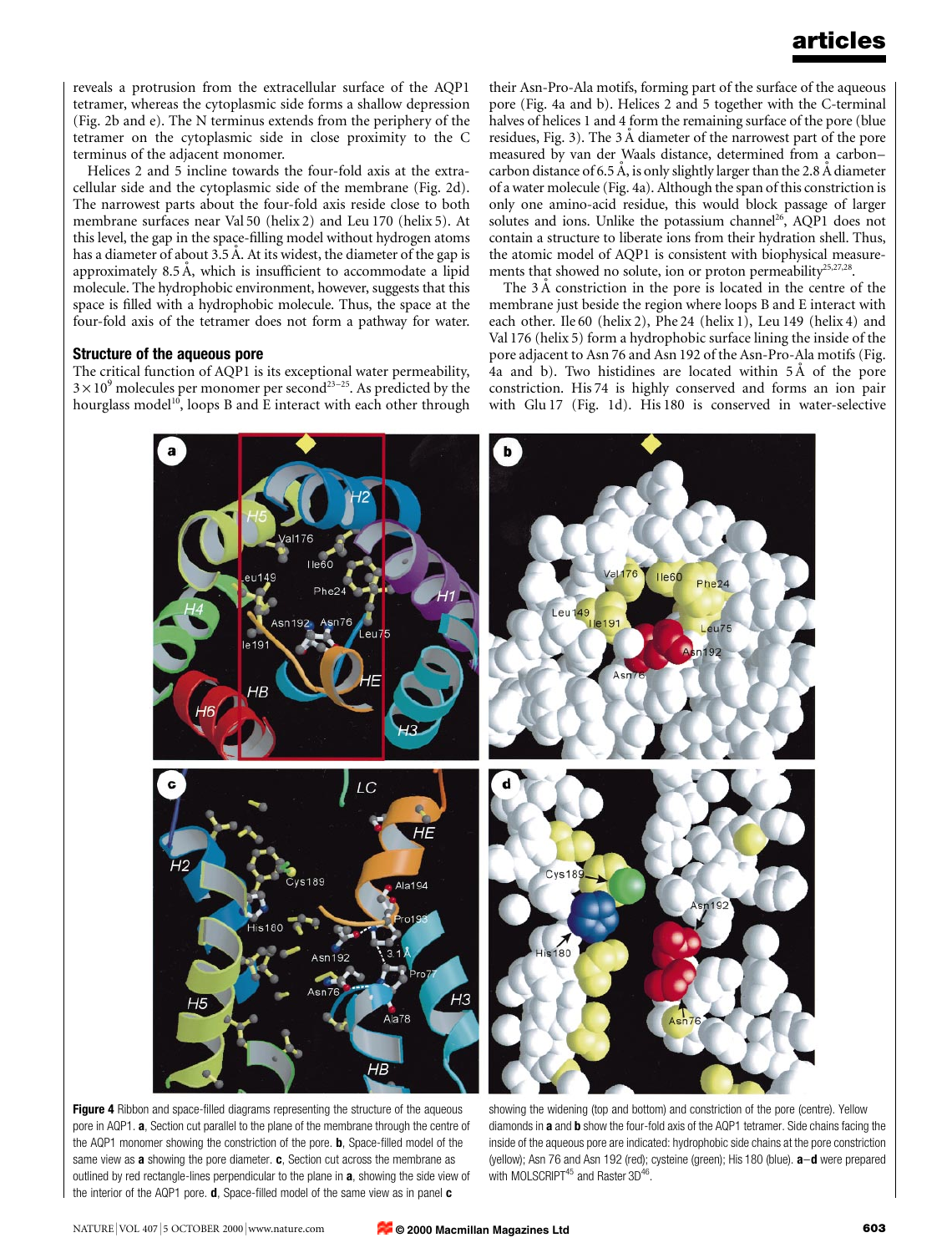reveals a protrusion from the extracellular surface of the AQP1 tetramer, whereas the cytoplasmic side forms a shallow depression (Fig. 2b and e). The N terminus extends from the periphery of the tetramer on the cytoplasmic side in close proximity to the C terminus of the adjacent monomer.

Helices 2 and 5 incline towards the four-fold axis at the extracellular side and the cytoplasmic side of the membrane (Fig. 2d). The narrowest parts about the four-fold axis reside close to both membrane surfaces near Val 50 (helix 2) and Leu 170 (helix 5). At this level, the gap in the space-filling model without hydrogen atoms has a diameter of about 3.5 Å. At its widest, the diameter of the gap is approximately  $8.5 \text{ Å}$ , which is insufficient to accommodate a lipid molecule. The hydrophobic environment, however, suggests that this space is filled with a hydrophobic molecule. Thus, the space at the four-fold axis of the tetramer does not form a pathway for water.

#### Structure of the aqueous pore

The critical function of AQP1 is its exceptional water permeability,  $3 \times 10^{9}$  molecules per monomer per second<sup>23-25</sup>. As predicted by the hourglass model<sup>10</sup>, loops B and E interact with each other through their Asn-Pro-Ala motifs, forming part of the surface of the aqueous pore (Fig. 4a and b). Helices 2 and 5 together with the C-terminal halves of helices 1 and 4 form the remaining surface of the pore (blue residues, Fig. 3). The  $3 \text{ Å}$  diameter of the narrowest part of the pore measured by van der Waals distance, determined from a carboncarbon distance of 6.5 Å, is only slightly larger than the 2.8 Å diameter of a water molecule (Fig. 4a). Although the span of this constriction is only one amino-acid residue, this would block passage of larger solutes and ions. Unlike the potassium channel<sup>26</sup>, AQP1 does not contain a structure to liberate ions from their hydration shell. Thus, the atomic model of AQP1 is consistent with biophysical measurements that showed no solute, ion or proton permeability $25,27,28$ .

The  $3 \text{ Å}$  constriction in the pore is located in the centre of the membrane just beside the region where loops B and E interact with each other. Ile 60 (helix 2), Phe 24 (helix 1), Leu 149 (helix 4) and Val 176 (helix 5) form a hydrophobic surface lining the inside of the pore adjacent to Asn 76 and Asn 192 of the Asn-Pro-Ala motifs (Fig. 4a and b). Two histidines are located within  $5\overline{A}$  of the pore constriction. His 74 is highly conserved and forms an ion pair with Glu 17 (Fig. 1d). His 180 is conserved in water-selective



Figure 4 Ribbon and space-filled diagrams representing the structure of the aqueous pore in AQP1. **a**, Section cut parallel to the plane of the membrane through the centre of the AQP1 monomer showing the constriction of the pore. **, Space-filled model of the** same view as  $a$  showing the pore diameter.  $c$ , Section cut across the membrane as outlined by red rectangle-lines perpendicular to the plane in **a**, showing the side view of the interior of the AQP1 pore.  $d$ , Space-filled model of the same view as in panel  $c$ 

showing the widening (top and bottom) and constriction of the pore (centre). Yellow diamonds in a and b show the four-fold axis of the AQP1 tetramer. Side chains facing the inside of the aqueous pore are indicated: hydrophobic side chains at the pore constriction (yellow); Asn 76 and Asn 192 (red); cysteine (green); His 180 (blue).  $a-d$  were prepared with MOLSCRIPT<sup>45</sup> and Raster 3D<sup>46</sup>.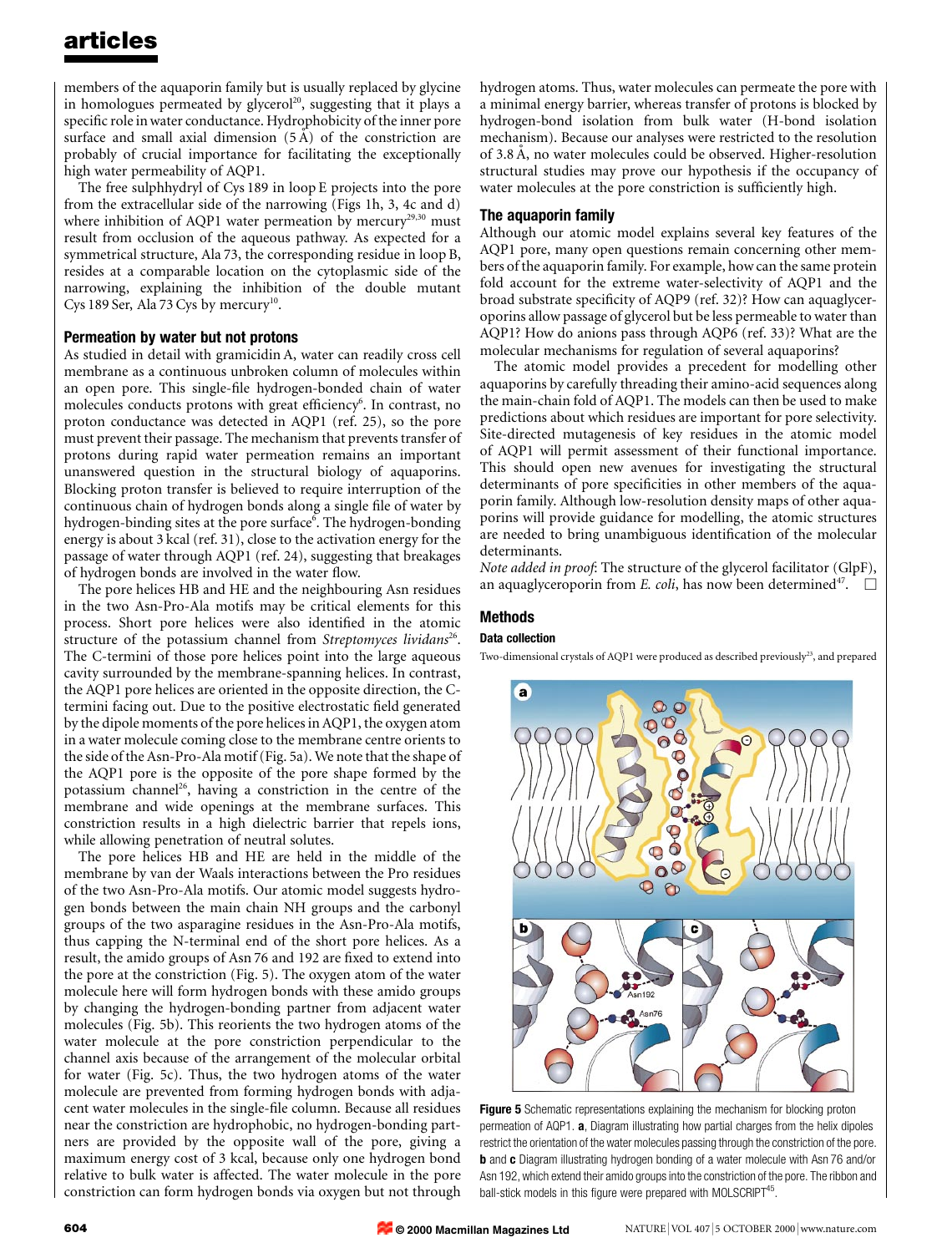members of the aquaporin family but is usually replaced by glycine in homologues permeated by glycerol<sup>20</sup>, suggesting that it plays a specific role in water conductance. Hydrophobicity of the inner pore surface and small axial dimension  $(5 \text{ Å})$  of the constriction are probably of crucial importance for facilitating the exceptionally high water permeability of AQP1.

The free sulphhydryl of Cys 189 in loop E projects into the pore from the extracellular side of the narrowing (Figs 1h, 3, 4c and d) where inhibition of AQP1 water permeation by mercury<sup>29,30</sup> must result from occlusion of the aqueous pathway. As expected for a symmetrical structure, Ala 73, the corresponding residue in loop B, resides at a comparable location on the cytoplasmic side of the narrowing, explaining the inhibition of the double mutant Cys 189 Ser, Ala 73 Cys by mercury<sup>10</sup>.

#### Permeation by water but not protons

As studied in detail with gramicidin A, water can readily cross cell membrane as a continuous unbroken column of molecules within an open pore. This single-file hydrogen-bonded chain of water molecules conducts protons with great efficiency<sup>6</sup>. In contrast, no proton conductance was detected in AQP1 (ref. 25), so the pore must prevent their passage. The mechanism that prevents transfer of protons during rapid water permeation remains an important unanswered question in the structural biology of aquaporins. Blocking proton transfer is believed to require interruption of the continuous chain of hydrogen bonds along a single file of water by hydrogen-binding sites at the pore surface<sup>6</sup>. The hydrogen-bonding energy is about 3 kcal (ref. 31), close to the activation energy for the passage of water through AQP1 (ref. 24), suggesting that breakages of hydrogen bonds are involved in the water flow.

The pore helices HB and HE and the neighbouring Asn residues in the two Asn-Pro-Ala motifs may be critical elements for this process. Short pore helices were also identified in the atomic structure of the potassium channel from Streptomyces lividans<sup>26</sup>. The C-termini of those pore helices point into the large aqueous cavity surrounded by the membrane-spanning helices. In contrast, the AQP1 pore helices are oriented in the opposite direction, the Ctermini facing out. Due to the positive electrostatic field generated by the dipole moments of the pore helices in AQP1, the oxygen atom in a water molecule coming close to the membrane centre orients to the side of the Asn-Pro-Ala motif (Fig. 5a). We note that the shape of the AQP1 pore is the opposite of the pore shape formed by the potassium channel<sup>26</sup>, having a constriction in the centre of the membrane and wide openings at the membrane surfaces. This constriction results in a high dielectric barrier that repels ions, while allowing penetration of neutral solutes.

The pore helices HB and HE are held in the middle of the membrane by van der Waals interactions between the Pro residues of the two Asn-Pro-Ala motifs. Our atomic model suggests hydrogen bonds between the main chain NH groups and the carbonyl groups of the two asparagine residues in the Asn-Pro-Ala motifs, thus capping the N-terminal end of the short pore helices. As a result, the amido groups of Asn 76 and 192 are fixed to extend into the pore at the constriction (Fig. 5). The oxygen atom of the water molecule here will form hydrogen bonds with these amido groups by changing the hydrogen-bonding partner from adjacent water molecules (Fig. 5b). This reorients the two hydrogen atoms of the water molecule at the pore constriction perpendicular to the channel axis because of the arrangement of the molecular orbital for water (Fig. 5c). Thus, the two hydrogen atoms of the water molecule are prevented from forming hydrogen bonds with adjacent water molecules in the single-file column. Because all residues near the constriction are hydrophobic, no hydrogen-bonding partners are provided by the opposite wall of the pore, giving a maximum energy cost of 3 kcal, because only one hydrogen bond relative to bulk water is affected. The water molecule in the pore constriction can form hydrogen bonds via oxygen but not through

hydrogen atoms. Thus, water molecules can permeate the pore with a minimal energy barrier, whereas transfer of protons is blocked by hydrogen-bond isolation from bulk water (H-bond isolation mechanism). Because our analyses were restricted to the resolution of 3.8 Å, no water molecules could be observed. Higher-resolution structural studies may prove our hypothesis if the occupancy of water molecules at the pore constriction is sufficiently high.

#### The aquaporin family

Although our atomic model explains several key features of the AQP1 pore, many open questions remain concerning other members of the aquaporin family. For example, how can the same protein fold account for the extreme water-selectivity of AQP1 and the broad substrate specificity of AQP9 (ref. 32)? How can aquaglyceroporins allow passage of glycerol but be less permeable to water than AQP1? How do anions pass through AQP6 (ref. 33)? What are the molecular mechanisms for regulation of several aquaporins?

The atomic model provides a precedent for modelling other aquaporins by carefully threading their amino-acid sequences along the main-chain fold of AQP1. The models can then be used to make predictions about which residues are important for pore selectivity. Site-directed mutagenesis of key residues in the atomic model of AQP1 will permit assessment of their functional importance. This should open new avenues for investigating the structural determinants of pore specificities in other members of the aquaporin family. Although low-resolution density maps of other aquaporins will provide guidance for modelling, the atomic structures are needed to bring unambiguous identification of the molecular determinants.

Note added in proof: The structure of the glycerol facilitator (GlpF), an aquaglyceroporin from *E. coli*, has now been determined<sup>47</sup>.  $\Box$ 

### Methods

#### Data collection

Two-dimensional crystals of AQP1 were produced as described previously<sup>23</sup>, and prepared



Figure 5 Schematic representations explaining the mechanism for blocking proton permeation of AQP1. a, Diagram illustrating how partial charges from the helix dipoles restrict the orientation of the water molecules passing through the constriction of the pore. **b** and **c** Diagram illustrating hydrogen bonding of a water molecule with Asn 76 and/or Asn 192, which extend their amido groups into the constriction of the pore. The ribbon and ball-stick models in this figure were prepared with MOLSCRIPT $45$ .